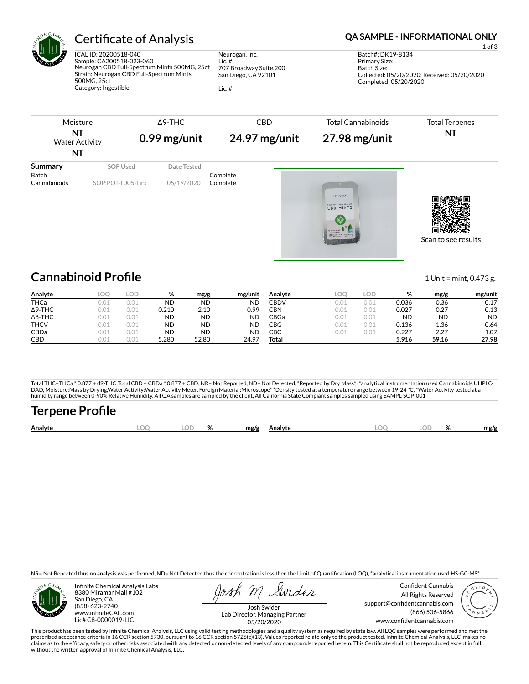

# Certificate of Analysis **Certificate of Analysis QA SAMPLE - INFORMATIONAL ONLY**

ICAL ID: 20200518-040 Sample: CA200518-023-060 Neurogan CBD Full-Spectrum Mints 500MG, 25ct Strain: Neurogan CBD Full-Spectrum Mints 500MG, 25ct Category: Ingestible

Neurogan, Inc. Lic. # 707 Broadway Suite.200 San Diego, CA 92101

Lic. #

Batch Size: Collected: 05/20/2020; Received: 05/20/2020 Completed: 05/20/2020

Primary Size:



# **Cannabinoid Profile** 1 Unit = mint, 0.473 g.

| Analyte        | LOO  | LOD  | %     | mg/g  | mg/unit   | Analyte     | LOO  | LOD  | %         | mg/g      | mg/unit   |
|----------------|------|------|-------|-------|-----------|-------------|------|------|-----------|-----------|-----------|
| <b>THCa</b>    | 0.01 | 0.01 | ND    | ND    | ND        | <b>CBDV</b> | 0.01 | 0.01 | 0.036     | 0.36      | 0.17      |
| $\Delta$ 9-THC | 0.01 | 0.01 | 0.210 | 2.10  | 0.99      | CBN         | 0.01 | 0.01 | 0.027     | 0.27      | 0.13      |
| $\Delta$ 8-THC | 0.01 | 0.01 | ND    | ND    | ND        | CBGa        | 0.01 | 0.01 | <b>ND</b> | <b>ND</b> | <b>ND</b> |
| <b>THCV</b>    | 0.01 | 0.01 | ND    | ND    | ND        | CBG         | 0.01 | 0.01 | 0.136     | 1.36      | 0.64      |
| CBDa           | 0.01 | 0.01 | ND    | ND    | <b>ND</b> | СВС         | 0.01 | 0.01 | 0.227     | 2.27      | 1.07      |
| CBD            | 0.01 | 0.01 | 5.280 | 52.80 | 24.97     | Total       |      |      | 5.916     | 59.16     | 27.98     |

Total THC=THCa \* 0.877 + d9-THC;Total CBD = CBDa \* 0.877 + CBD; NR= Not Reported, ND= Not Detected, \*Reported by Dry Mass\*; \*analytical instrumentation used Cannabinoids:UHPLC-DAD, Moisture:Mass by Drying,Water Activity:Water Activity Meter, Foreign Material:Microscope\* \*Density tested at a temperature range between 19-24 °C, \*Water Activity tested at a<br>humidity range between 0-90% Relative Humi

# Terpene Profile

| Analyte |  | $\overline{ }$ | mg/g | Analvte | ገር<br><b>Dog</b> | 01<br>$\sqrt{2}$ | mg/g |
|---------|--|----------------|------|---------|------------------|------------------|------|
|         |  |                |      |         |                  |                  |      |

NR= Not Reported thus no analysis was performed, ND= Not Detected thus the concentration is less then the Limit of Quantification (LOQ), \*analytical instrumentation used:HS-GC-MS\*



Infinite Chemical Analysis Labs 8380 Miramar Mall #102 San Diego, CA (858) 623-2740 www.infiniteCAL.com Lic# C8-0000019-LIC

Swides

Confident Cannabis All Rights Reserved support@confidentcannabis.com (866) 506-5866 www.confidentcannabis.com



Josh Swider Lab Director, Managing Partner 05/20/2020

This product has been tested by Infinite Chemical Analysis, LLC using valid testing methodologies and a quality system as required by state law. All LQC samples were performed and met the prescribed acceptance criteria in 16 CCR section 5730, pursuant to 16 CCR section 5726(e)(13). Values reported relate only to the product tested. Infinite Chemical Analysis, LLC makes no<br>claims as to the efficacy, safety o without the written approval of Infinite Chemical Analysis, LLC.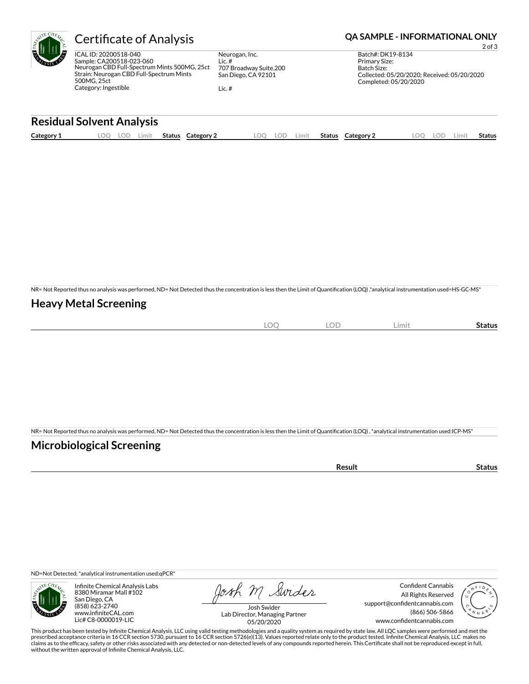ICAL ID: 20200518-040 Sample: CA200518-023-060 Neurogan CBD Full-Spectrum Mints 500MG, 25ct Strain: Neurogan CBD Full-Spectrum Mints 500MG, 25ct Category: Ingestible

Neurogan, Inc. Lic. # 707 Broadway Suite.200 San Diego, CA 92101

Lic. #

## Certificate of Analysis **Certificate of Analysis QA SAMPLE - INFORMATIONAL ONLY**

2 of 3 Batch#: DK19-8134 Primary Size: Batch Size: Collected: 05/20/2020; Received: 05/20/2020 Completed: 05/20/2020

### **Residual Solvent Analysis**

| Category 1 | .OC | LOF | .imit | Status | Category 2 | nn | .imit | <b>Status</b> | Category ∠ | LOD | Limi† | <b>Status</b> |
|------------|-----|-----|-------|--------|------------|----|-------|---------------|------------|-----|-------|---------------|
|            |     |     |       |        |            |    |       |               |            |     |       |               |

NR= Not Reported thus no analysis was performed, ND= Not Detected thus the concentration is less then the Limit of Quantification (LOQ),\*analytical instrumentation used=HS-GC-MS\*

### **Heavy Metal Screening**

| $\bigcap$<br>$-$<br>$\sim$ | . OF<br>◡ | Limit | status |
|----------------------------|-----------|-------|--------|
|                            |           |       |        |

NR= Not Reported thus no analysis was performed, ND= Not Detected thus the concentration is less then the Limit of Quantification (LOQ), \*analytical instrumentation used:ICP-MS\*

### **Microbiological Screening**

ND=Not Detected; \*analytical instrumentation used:qPCR\*



Infinite Chemical Analysis Labs 8380 Miramar Mall #102 San Diego, CA (858) 623-2740 www.infiniteCAL.com Lic# C8-0000019-LIC

Josh M Swider

Confident Cannabis All Rights Reserved support@confidentcannabis.com (866) 506-5866 www.confidentcannabis.com



Josh Swider Lab Director, Managing Partner 05/20/2020

This product has been tested by Infinite Chemical Analysis, LLC using valid testing methodologies and a quality system as required by state law. All LQC samples were performed and met the prescribed acceptance criteria in 16 CCR section 5730, pursuant to 16 CCR section 5726(e)(13). Values reported relate only to the product tested. Infinite Chemical Analysis, LLC makes no<br>claims as to the efficacy, safety o without the written approval of Infinite Chemical Analysis, LLC.